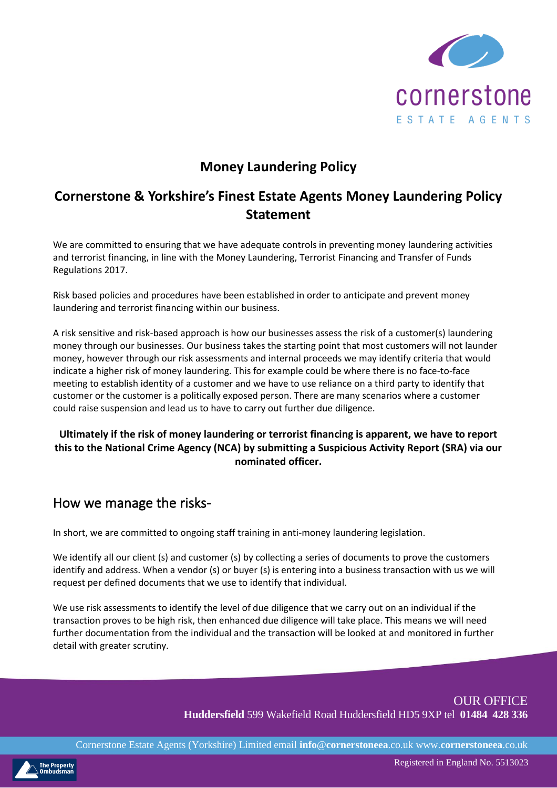

## **Money Laundering Policy**

## **Cornerstone & Yorkshire's Finest Estate Agents Money Laundering Policy Statement**

We are committed to ensuring that we have adequate controls in preventing money laundering activities and terrorist financing, in line with the Money Laundering, Terrorist Financing and Transfer of Funds Regulations 2017.

Risk based policies and procedures have been established in order to anticipate and prevent money laundering and terrorist financing within our business.

A risk sensitive and risk-based approach is how our businesses assess the risk of a customer(s) laundering money through our businesses. Our business takes the starting point that most customers will not launder money, however through our risk assessments and internal proceeds we may identify criteria that would indicate a higher risk of money laundering. This for example could be where there is no face-to-face meeting to establish identity of a customer and we have to use reliance on a third party to identify that customer or the customer is a politically exposed person. There are many scenarios where a customer could raise suspension and lead us to have to carry out further due diligence.

#### **Ultimately if the risk of money laundering or terrorist financing is apparent, we have to report this to the National Crime Agency (NCA) by submitting a Suspicious Activity Report (SRA) via our nominated officer.**

### How we manage the risks-

In short, we are committed to ongoing staff training in anti-money laundering legislation.

We identify all our client (s) and customer (s) by collecting a series of documents to prove the customers identify and address. When a vendor (s) or buyer (s) is entering into a business transaction with us we will request per defined documents that we use to identify that individual.

We use risk assessments to identify the level of due diligence that we carry out on an individual if the transaction proves to be high risk, then enhanced due diligence will take place. This means we will need further documentation from the individual and the transaction will be looked at and monitored in further detail with greater scrutiny.

> OUR OFFICE **Huddersfield** 599 Wakefield Road Huddersfield HD5 9XP tel **01484 428 336**

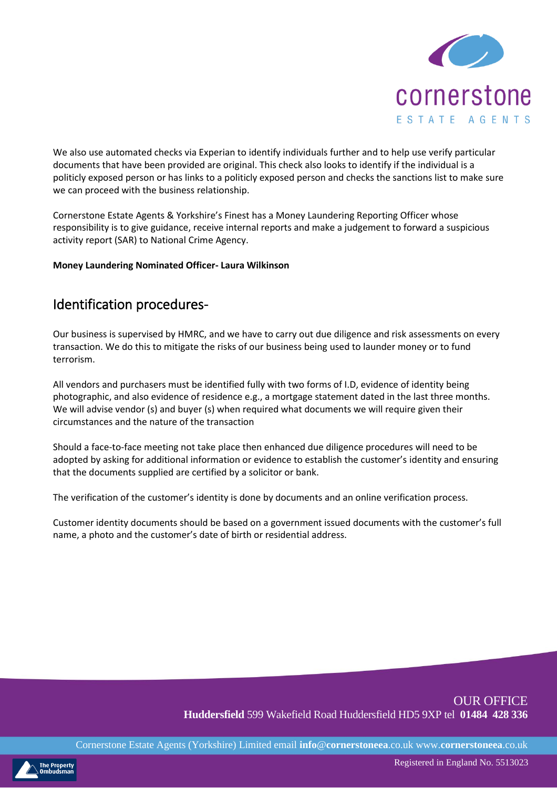

We also use automated checks via Experian to identify individuals further and to help use verify particular documents that have been provided are original. This check also looks to identify if the individual is a politicly exposed person or has links to a politicly exposed person and checks the sanctions list to make sure we can proceed with the business relationship.

Cornerstone Estate Agents & Yorkshire's Finest has a Money Laundering Reporting Officer whose responsibility is to give guidance, receive internal reports and make a judgement to forward a suspicious activity report (SAR) to National Crime Agency.

#### **Money Laundering Nominated Officer- Laura Wilkinson**

### Identification procedures-

Our business is supervised by HMRC, and we have to carry out due diligence and risk assessments on every transaction. We do this to mitigate the risks of our business being used to launder money or to fund terrorism.

All vendors and purchasers must be identified fully with two forms of I.D, evidence of identity being photographic, and also evidence of residence e.g., a mortgage statement dated in the last three months. We will advise vendor (s) and buyer (s) when required what documents we will require given their circumstances and the nature of the transaction

Should a face-to-face meeting not take place then enhanced due diligence procedures will need to be adopted by asking for additional information or evidence to establish the customer's identity and ensuring that the documents supplied are certified by a solicitor or bank.

The verification of the customer's identity is done by documents and an online verification process.

Customer identity documents should be based on a government issued documents with the customer's full name, a photo and the customer's date of birth or residential address.

#### OUR OFFICE **Huddersfield** 599 Wakefield Road Huddersfield HD5 9XP tel **01484 428 336**

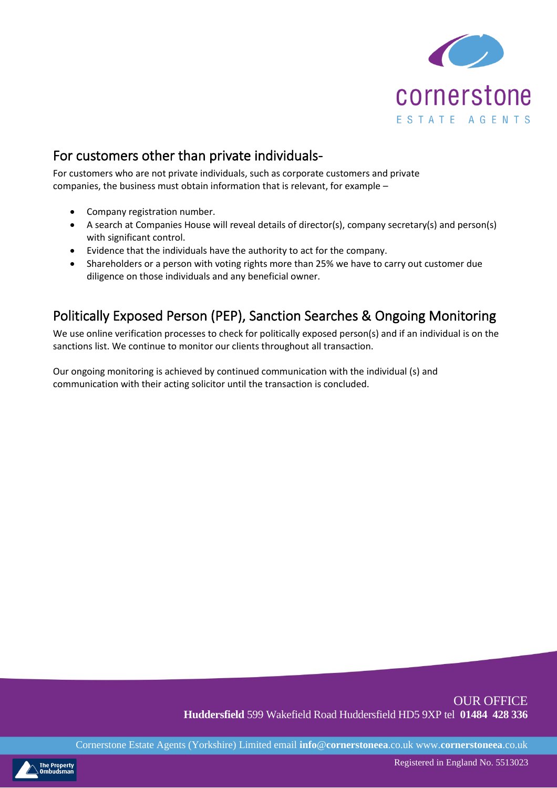

# For customers other than private individuals-

For customers who are not private individuals, such as corporate customers and private companies, the business must obtain information that is relevant, for example –

- Company registration number.
- A search at Companies House will reveal details of director(s), company secretary(s) and person(s) with significant control.
- Evidence that the individuals have the authority to act for the company.
- Shareholders or a person with voting rights more than 25% we have to carry out customer due diligence on those individuals and any beneficial owner.

# Politically Exposed Person (PEP), Sanction Searches & Ongoing Monitoring

We use online verification processes to check for politically exposed person(s) and if an individual is on the sanctions list. We continue to monitor our clients throughout all transaction.

Our ongoing monitoring is achieved by continued communication with the individual (s) and communication with their acting solicitor until the transaction is concluded.

#### OUR OFFICE **Huddersfield** 599 Wakefield Road Huddersfield HD5 9XP tel **01484 428 336**

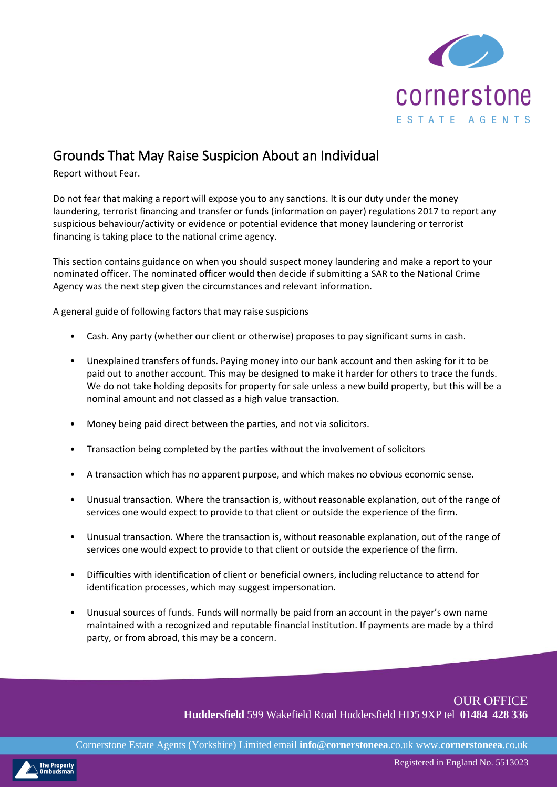

# Grounds That May Raise Suspicion About an Individual

Report without Fear.

Do not fear that making a report will expose you to any sanctions. It is our duty under the money laundering, terrorist financing and transfer or funds (information on payer) regulations 2017 to report any suspicious behaviour/activity or evidence or potential evidence that money laundering or terrorist financing is taking place to the national crime agency.

This section contains guidance on when you should suspect money laundering and make a report to your nominated officer. The nominated officer would then decide if submitting a SAR to the National Crime Agency was the next step given the circumstances and relevant information.

A general guide of following factors that may raise suspicions

- Cash. Any party (whether our client or otherwise) proposes to pay significant sums in cash.
- Unexplained transfers of funds. Paying money into our bank account and then asking for it to be paid out to another account. This may be designed to make it harder for others to trace the funds. We do not take holding deposits for property for sale unless a new build property, but this will be a nominal amount and not classed as a high value transaction.
- Money being paid direct between the parties, and not via solicitors.
- Transaction being completed by the parties without the involvement of solicitors
- A transaction which has no apparent purpose, and which makes no obvious economic sense.
- Unusual transaction. Where the transaction is, without reasonable explanation, out of the range of services one would expect to provide to that client or outside the experience of the firm.
- Unusual transaction. Where the transaction is, without reasonable explanation, out of the range of services one would expect to provide to that client or outside the experience of the firm.
- Difficulties with identification of client or beneficial owners, including reluctance to attend for identification processes, which may suggest impersonation.
- Unusual sources of funds. Funds will normally be paid from an account in the payer's own name maintained with a recognized and reputable financial institution. If payments are made by a third party, or from abroad, this may be a concern.

OUR OFFICE **Huddersfield** 599 Wakefield Road Huddersfield HD5 9XP tel **01484 428 336**

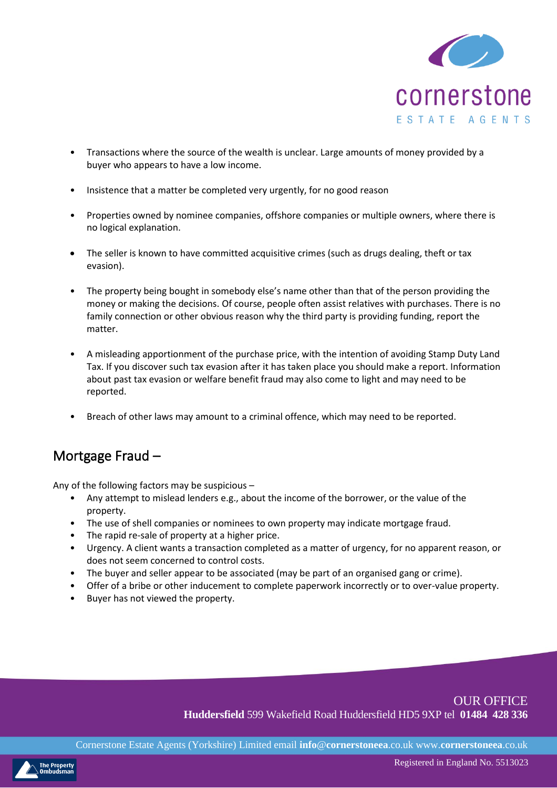

- Transactions where the source of the wealth is unclear. Large amounts of money provided by a buyer who appears to have a low income.
- Insistence that a matter be completed very urgently, for no good reason
- Properties owned by nominee companies, offshore companies or multiple owners, where there is no logical explanation.
- The seller is known to have committed acquisitive crimes (such as drugs dealing, theft or tax evasion).
- The property being bought in somebody else's name other than that of the person providing the money or making the decisions. Of course, people often assist relatives with purchases. There is no family connection or other obvious reason why the third party is providing funding, report the matter.
- A misleading apportionment of the purchase price, with the intention of avoiding Stamp Duty Land Tax. If you discover such tax evasion after it has taken place you should make a report. Information about past tax evasion or welfare benefit fraud may also come to light and may need to be reported.
- Breach of other laws may amount to a criminal offence, which may need to be reported.

### Mortgage Fraud –

Any of the following factors may be suspicious –

- Any attempt to mislead lenders e.g., about the income of the borrower, or the value of the property.
- The use of shell companies or nominees to own property may indicate mortgage fraud.
- The rapid re-sale of property at a higher price.
- Urgency. A client wants a transaction completed as a matter of urgency, for no apparent reason, or does not seem concerned to control costs.
- The buyer and seller appear to be associated (may be part of an organised gang or crime).
- Offer of a bribe or other inducement to complete paperwork incorrectly or to over-value property.
- Buyer has not viewed the property.

#### OUR OFFICE **Huddersfield** 599 Wakefield Road Huddersfield HD5 9XP tel **01484 428 336**

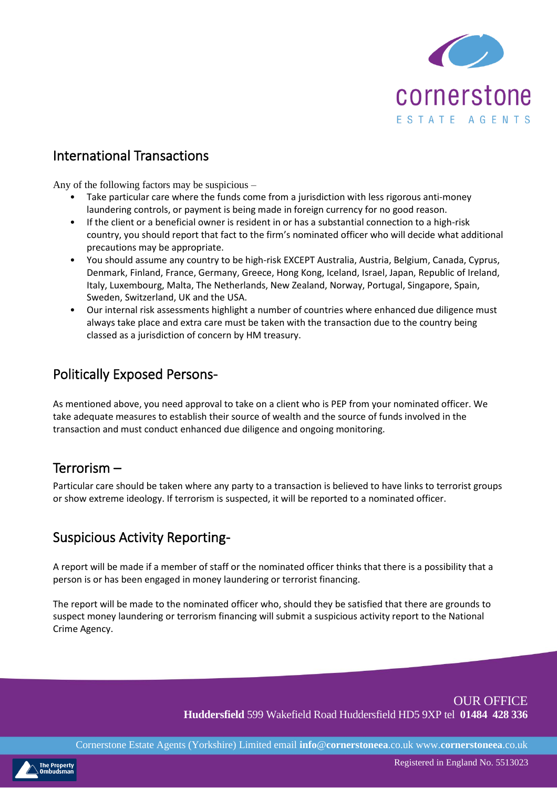

# International Transactions

Any of the following factors may be suspicious –

- Take particular care where the funds come from a jurisdiction with less rigorous anti-money laundering controls, or payment is being made in foreign currency for no good reason.
- If the client or a beneficial owner is resident in or has a substantial connection to a high-risk country, you should report that fact to the firm's nominated officer who will decide what additional precautions may be appropriate.
- You should assume any country to be high-risk EXCEPT Australia, Austria, Belgium, Canada, Cyprus, Denmark, Finland, France, Germany, Greece, Hong Kong, Iceland, Israel, Japan, Republic of Ireland, Italy, Luxembourg, Malta, The Netherlands, New Zealand, Norway, Portugal, Singapore, Spain, Sweden, Switzerland, UK and the USA.
- Our internal risk assessments highlight a number of countries where enhanced due diligence must always take place and extra care must be taken with the transaction due to the country being classed as a jurisdiction of concern by HM treasury.

# Politically Exposed Persons-

As mentioned above, you need approval to take on a client who is PEP from your nominated officer. We take adequate measures to establish their source of wealth and the source of funds involved in the transaction and must conduct enhanced due diligence and ongoing monitoring.

### Terrorism –

Particular care should be taken where any party to a transaction is believed to have links to terrorist groups or show extreme ideology. If terrorism is suspected, it will be reported to a nominated officer.

### Suspicious Activity Reporting-

A report will be made if a member of staff or the nominated officer thinks that there is a possibility that a person is or has been engaged in money laundering or terrorist financing.

The report will be made to the nominated officer who, should they be satisfied that there are grounds to suspect money laundering or terrorism financing will submit a suspicious activity report to the National Crime Agency.

> OUR OFFICE **Huddersfield** 599 Wakefield Road Huddersfield HD5 9XP tel **01484 428 336**